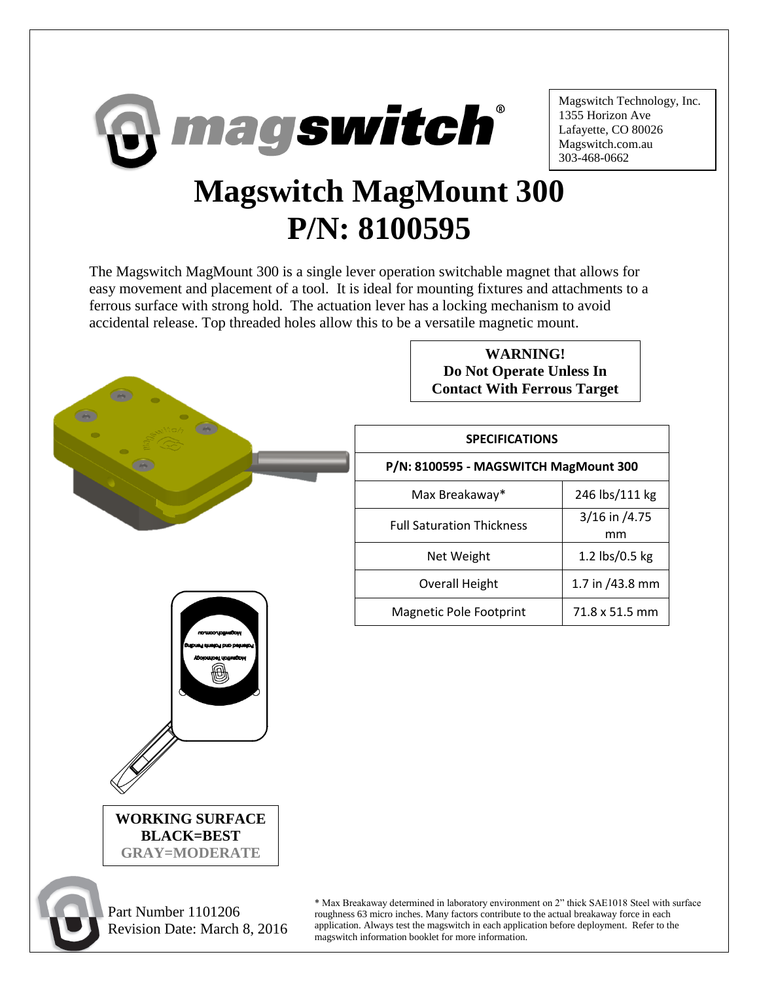

Magswitch Technology, Inc. 1355 Horizon Ave Lafayette, CO 80026 Magswitch.com.au 303-468-0662

## **Magswitch MagMount 300 P/N: 8100595**

The Magswitch MagMount 300 is a single lever operation switchable magnet that allows for easy movement and placement of a tool. It is ideal for mounting fixtures and attachments to a ferrous surface with strong hold. The actuation lever has a locking mechanism to avoid accidental release. Top threaded holes allow this to be a versatile magnetic mount.



Revision Date: March 8, 2016

roughness 63 micro inches. Many factors contribute to the actual breakaway force in each application. Always test the magswitch in each application before deployment. Refer to the magswitch information booklet for more information.

**WARNING!**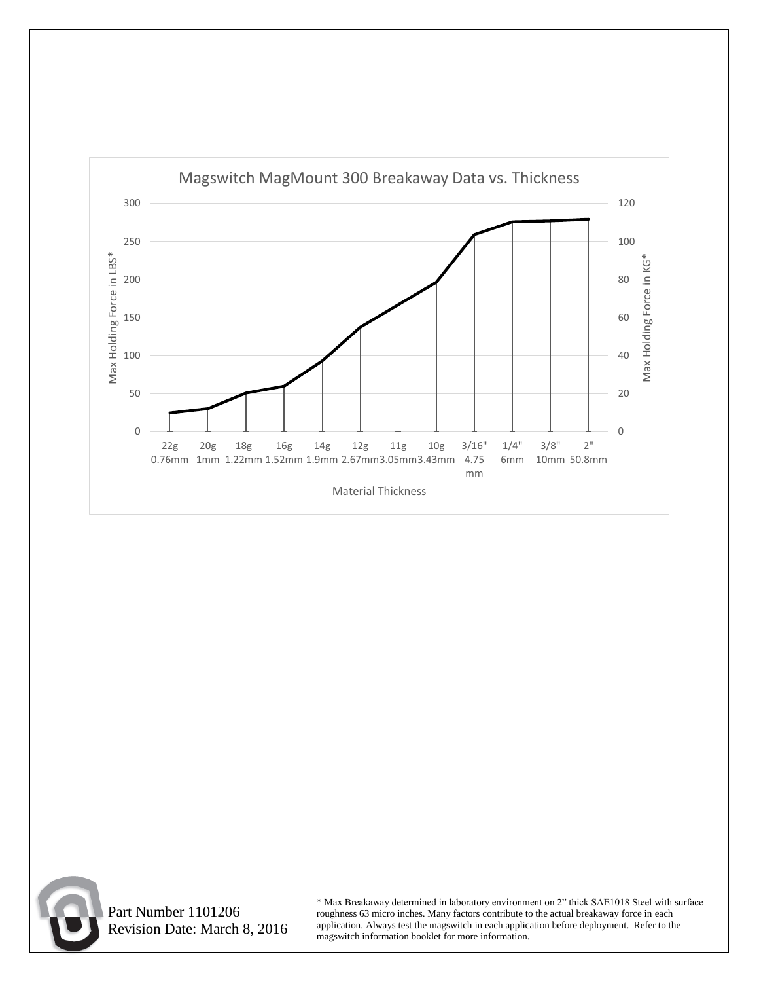



 Part Number 1101206 Revision Date: March 8, 2016

\* Max Breakaway determined in laboratory environment on 2" thick SAE1018 Steel with surface roughness 63 micro inches. Many factors contribute to the actual breakaway force in each application. Always test the magswitch in each application before deployment. Refer to the magswitch information booklet for more information.